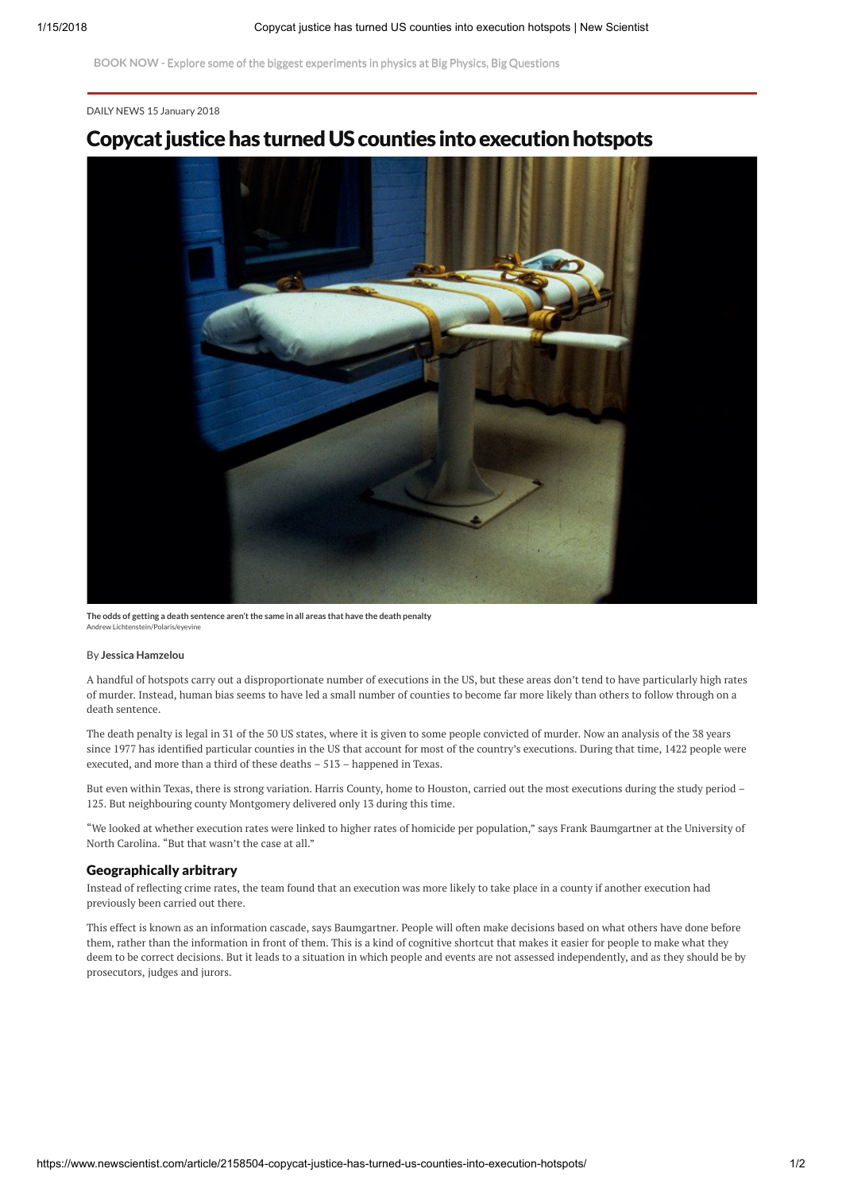BOOK NOW - Explore some of the biggest [experiments in](https://www.eventbrite.com/e/instant-expert-big-physics-big-questions-tickets-39768427437?aff=ticker) physics at Big Physics, Big Questions

#### DAILY [NEWS](https://www.newscientist.com/article_type/daily-news/) 15 January 2018

## Copycat justice has turned US counties into execution hotspots



Andrew Lichtenstein/Polaris/eyevi The odds of getting a death sentence aren't the same in all areas that have the death penalty

#### By Jessica Hamzelou

A handful of hotspots carry out a disproportionate number of [executions](https://www.newscientist.com/article/dn25486-us-death-penalty-practices-raise-disturbing-questions/) in the US, but these areas don't tend to have particularly high rates of murder. Instead, human bias seems to have led a small number of counties to become far more likely than others to follow through on a death sentence.

The death penalty is legal in 31 of the 50 US states, where it is given to some people convicted of murder. Now an analysis of the 38 years since 1977 has identified particular counties in the US that account for most of the country's executions. During that time, 1422 people were executed, and more than a third of these deaths – 513 – happened in Texas.

But even within Texas, there is strong variation. Harris County, home to Houston, carried out the most executions during the study period – 125. But neighbouring county Montgomery delivered only 13 during this time.

"We looked at whether execution rates were linked to higher rates of homicide per population," says Frank [Baumgartner](https://www.unc.edu/~fbaum/) at the University of North Carolina. "But that wasn't the case at all."

#### Geographically arbitrary

Instead of reflecting crime rates, the team found that an execution was more likely to take place in a county if another execution had previously been carried out there.

This effect is known as an information cascade, says Baumgartner. People will often make decisions based on what others have done before them, rather than the information in front of them. This is a kind of cognitive shortcut that makes it easier for people to make what they deem to be correct decisions. But it leads to a situation in which people and events are not assessed independently, and as they should be by prosecutors, judges and jurors.